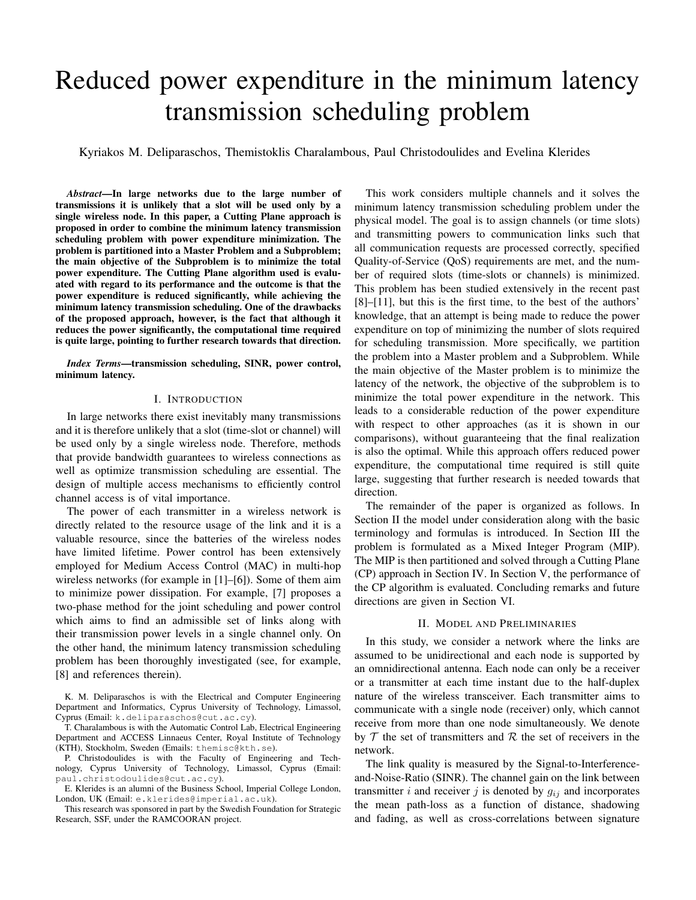# Reduced power expenditure in the minimum latency transmission scheduling problem

Kyriakos M. Deliparaschos, Themistoklis Charalambous, Paul Christodoulides and Evelina Klerides

*Abstract*—In large networks due to the large number of transmissions it is unlikely that a slot will be used only by a single wireless node. In this paper, a Cutting Plane approach is proposed in order to combine the minimum latency transmission scheduling problem with power expenditure minimization. The problem is partitioned into a Master Problem and a Subproblem; the main objective of the Subproblem is to minimize the total power expenditure. The Cutting Plane algorithm used is evaluated with regard to its performance and the outcome is that the power expenditure is reduced significantly, while achieving the minimum latency transmission scheduling. One of the drawbacks of the proposed approach, however, is the fact that although it reduces the power significantly, the computational time required is quite large, pointing to further research towards that direction.

*Index Terms*—transmission scheduling, SINR, power control, minimum latency.

## I. INTRODUCTION

In large networks there exist inevitably many transmissions and it is therefore unlikely that a slot (time-slot or channel) will be used only by a single wireless node. Therefore, methods that provide bandwidth guarantees to wireless connections as well as optimize transmission scheduling are essential. The design of multiple access mechanisms to efficiently control channel access is of vital importance.

The power of each transmitter in a wireless network is directly related to the resource usage of the link and it is a valuable resource, since the batteries of the wireless nodes have limited lifetime. Power control has been extensively employed for Medium Access Control (MAC) in multi-hop wireless networks (for example in [1]–[6]). Some of them aim to minimize power dissipation. For example, [7] proposes a two-phase method for the joint scheduling and power control which aims to find an admissible set of links along with their transmission power levels in a single channel only. On the other hand, the minimum latency transmission scheduling problem has been thoroughly investigated (see, for example, [8] and references therein).

K. M. Deliparaschos is with the Electrical and Computer Engineering Department and Informatics, Cyprus University of Technology, Limassol, Cyprus (Email: k.deliparaschos@cut.ac.cy).

T. Charalambous is with the Automatic Control Lab, Electrical Engineering Department and ACCESS Linnaeus Center, Royal Institute of Technology (KTH), Stockholm, Sweden (Emails: themisc@kth.se).

P. Christodoulides is with the Faculty of Engineering and Technology, Cyprus University of Technology, Limassol, Cyprus (Email: paul.christodoulides@cut.ac.cy).

E. Klerides is an alumni of the Business School, Imperial College London, London, UK (Email: e.klerides@imperial.ac.uk).

This research was sponsored in part by the Swedish Foundation for Strategic Research, SSF, under the RAMCOORAN project.

This work considers multiple channels and it solves the minimum latency transmission scheduling problem under the physical model. The goal is to assign channels (or time slots) and transmitting powers to communication links such that all communication requests are processed correctly, specified Quality-of-Service (QoS) requirements are met, and the number of required slots (time-slots or channels) is minimized. This problem has been studied extensively in the recent past [8]–[11], but this is the first time, to the best of the authors' knowledge, that an attempt is being made to reduce the power expenditure on top of minimizing the number of slots required for scheduling transmission. More specifically, we partition the problem into a Master problem and a Subproblem. While the main objective of the Master problem is to minimize the latency of the network, the objective of the subproblem is to minimize the total power expenditure in the network. This leads to a considerable reduction of the power expenditure with respect to other approaches (as it is shown in our comparisons), without guaranteeing that the final realization is also the optimal. While this approach offers reduced power expenditure, the computational time required is still quite large, suggesting that further research is needed towards that direction.

The remainder of the paper is organized as follows. In Section II the model under consideration along with the basic terminology and formulas is introduced. In Section III the problem is formulated as a Mixed Integer Program (MIP). The MIP is then partitioned and solved through a Cutting Plane (CP) approach in Section IV. In Section V, the performance of the CP algorithm is evaluated. Concluding remarks and future directions are given in Section VI.

## II. MODEL AND PRELIMINARIES

In this study, we consider a network where the links are assumed to be unidirectional and each node is supported by an omnidirectional antenna. Each node can only be a receiver or a transmitter at each time instant due to the half-duplex nature of the wireless transceiver. Each transmitter aims to communicate with a single node (receiver) only, which cannot receive from more than one node simultaneously. We denote by  $T$  the set of transmitters and  $R$  the set of receivers in the network.

The link quality is measured by the Signal-to-Interferenceand-Noise-Ratio (SINR). The channel gain on the link between transmitter i and receiver j is denoted by  $g_{ij}$  and incorporates the mean path-loss as a function of distance, shadowing and fading, as well as cross-correlations between signature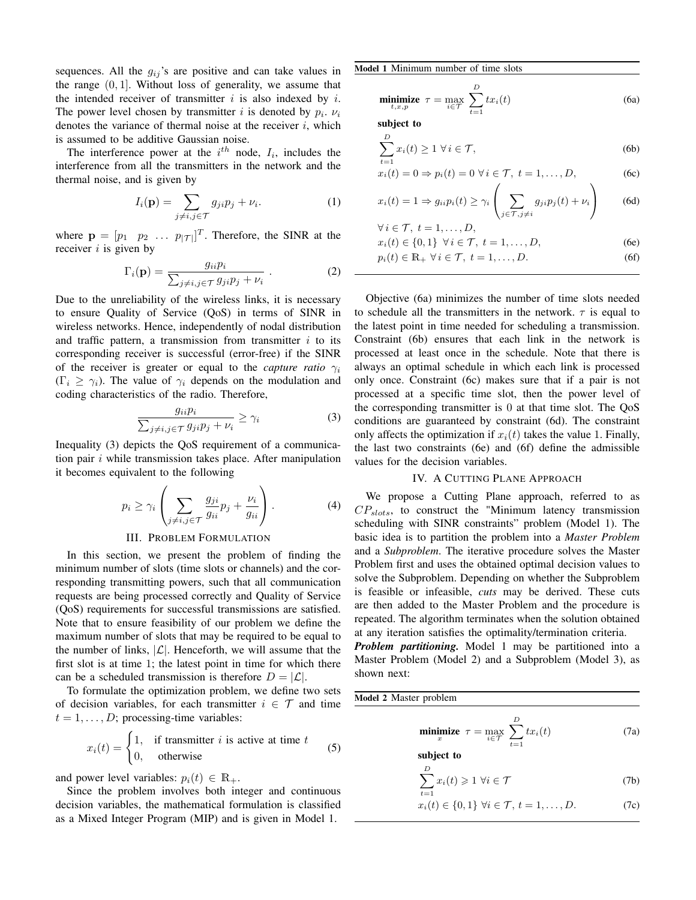sequences. All the  $g_{ij}$ 's are positive and can take values in the range  $(0, 1]$ . Without loss of generality, we assume that the intended receiver of transmitter  $i$  is also indexed by  $i$ . The power level chosen by transmitter i is denoted by  $p_i$ .  $\nu_i$ denotes the variance of thermal noise at the receiver  $i$ , which is assumed to be additive Gaussian noise.

The interference power at the  $i^{th}$  node,  $I_i$ , includes the interference from all the transmitters in the network and the thermal noise, and is given by

$$
I_i(\mathbf{p}) = \sum_{j \neq i, j \in \mathcal{T}} g_{ji} p_j + \nu_i.
$$
 (1)

where  $\mathbf{p} = [p_1 \quad p_2 \quad \dots \quad p_{|\mathcal{T}|}]^T$ . Therefore, the SINR at the receiver  $i$  is given by

$$
\Gamma_i(\mathbf{p}) = \frac{g_{ii}p_i}{\sum_{j \neq i, j \in \mathcal{T}} g_{ji}p_j + \nu_i} \ . \tag{2}
$$

Due to the unreliability of the wireless links, it is necessary to ensure Quality of Service (QoS) in terms of SINR in wireless networks. Hence, independently of nodal distribution and traffic pattern, a transmission from transmitter  $i$  to its corresponding receiver is successful (error-free) if the SINR of the receiver is greater or equal to the *capture ratio*  $\gamma_i$  $(\Gamma_i \geq \gamma_i)$ . The value of  $\gamma_i$  depends on the modulation and coding characteristics of the radio. Therefore,

$$
\frac{g_{ii}p_i}{\sum_{j \neq i, j \in \mathcal{T}} g_{ji}p_j + \nu_i} \ge \gamma_i
$$
 (3)

Inequality (3) depicts the QoS requirement of a communication pair  $i$  while transmission takes place. After manipulation it becomes equivalent to the following

$$
p_i \ge \gamma_i \left( \sum_{j \ne i, j \in \mathcal{T}} \frac{g_{ji}}{g_{ii}} p_j + \frac{\nu_i}{g_{ii}} \right). \tag{4}
$$

## III. PROBLEM FORMULATION

In this section, we present the problem of finding the minimum number of slots (time slots or channels) and the corresponding transmitting powers, such that all communication requests are being processed correctly and Quality of Service (QoS) requirements for successful transmissions are satisfied. Note that to ensure feasibility of our problem we define the maximum number of slots that may be required to be equal to the number of links,  $|\mathcal{L}|$ . Henceforth, we will assume that the first slot is at time 1; the latest point in time for which there can be a scheduled transmission is therefore  $D = |\mathcal{L}|$ .

To formulate the optimization problem, we define two sets of decision variables, for each transmitter  $i \in \mathcal{T}$  and time  $t = 1, \ldots, D$ ; processing-time variables:

$$
x_i(t) = \begin{cases} 1, & \text{if transmitter } i \text{ is active at time } t \\ 0, & \text{otherwise} \end{cases}
$$
 (5)

and power level variables:  $p_i(t) \in \mathbb{R}_+$ .

Since the problem involves both integer and continuous decision variables, the mathematical formulation is classified as a Mixed Integer Program (MIP) and is given in Model 1.

Model 1 Minimum number of time slots

$$
\underset{t,x,p}{\text{minimize}} \ \tau = \max_{i \in \mathcal{T}} \sum_{t=1}^{D} tx_i(t) \tag{6a}
$$

subject to

$$
\sum_{t=1}^{D} x_i(t) \ge 1 \,\forall i \in \mathcal{T},\tag{6b}
$$

$$
x_i(t) = 0 \Rightarrow p_i(t) = 0 \,\forall i \in \mathcal{T}, \ t = 1, \dots, D,
$$
 (6c)

$$
x_i(t) = 1 \Rightarrow g_{ii}p_i(t) \ge \gamma_i \left( \sum_{j \in \mathcal{T}, j \neq i} g_{ji}p_j(t) + \nu_i \right) \tag{6d}
$$

$$
\forall i \in \mathcal{T}, t = 1, \dots, D,x_i(t) \in \{0, 1\} \forall i \in \mathcal{T}, t = 1, \dots, D,
$$
 (6e)

$$
p_i(t) \in \mathbb{R}_+ \,\,\forall \, i \in \mathcal{T}, \ t = 1, \dots, D. \tag{6f}
$$

Objective (6a) minimizes the number of time slots needed to schedule all the transmitters in the network.  $\tau$  is equal to the latest point in time needed for scheduling a transmission. Constraint (6b) ensures that each link in the network is processed at least once in the schedule. Note that there is always an optimal schedule in which each link is processed only once. Constraint (6c) makes sure that if a pair is not processed at a specific time slot, then the power level of the corresponding transmitter is 0 at that time slot. The QoS conditions are guaranteed by constraint (6d). The constraint only affects the optimization if  $x_i(t)$  takes the value 1. Finally, the last two constraints (6e) and (6f) define the admissible values for the decision variables.

# IV. A CUTTING PLANE APPROACH

We propose a Cutting Plane approach, referred to as  $CP_{slots}$ , to construct the "Minimum latency transmission scheduling with SINR constraints" problem (Model 1). The basic idea is to partition the problem into a *Master Problem* and a *Subproblem*. The iterative procedure solves the Master Problem first and uses the obtained optimal decision values to solve the Subproblem. Depending on whether the Subproblem is feasible or infeasible, *cuts* may be derived. These cuts are then added to the Master Problem and the procedure is repeated. The algorithm terminates when the solution obtained at any iteration satisfies the optimality/termination criteria.

*Problem partitioning.* Model 1 may be partitioned into a Master Problem (Model 2) and a Subproblem (Model 3), as shown next:

Model 2 Master problem

$$
\underset{x}{\text{minimize}} \ \tau = \max_{i \in \mathcal{T}} \ \sum_{t=1}^{D} tx_i(t) \tag{7a}
$$

subject to

$$
\sum_{t=1}^{D} x_i(t) \geq 1 \,\forall i \in \mathcal{T} \tag{7b}
$$

$$
x_i(t) \in \{0, 1\} \ \forall i \in \mathcal{T}, t = 1, \dots, D. \tag{7c}
$$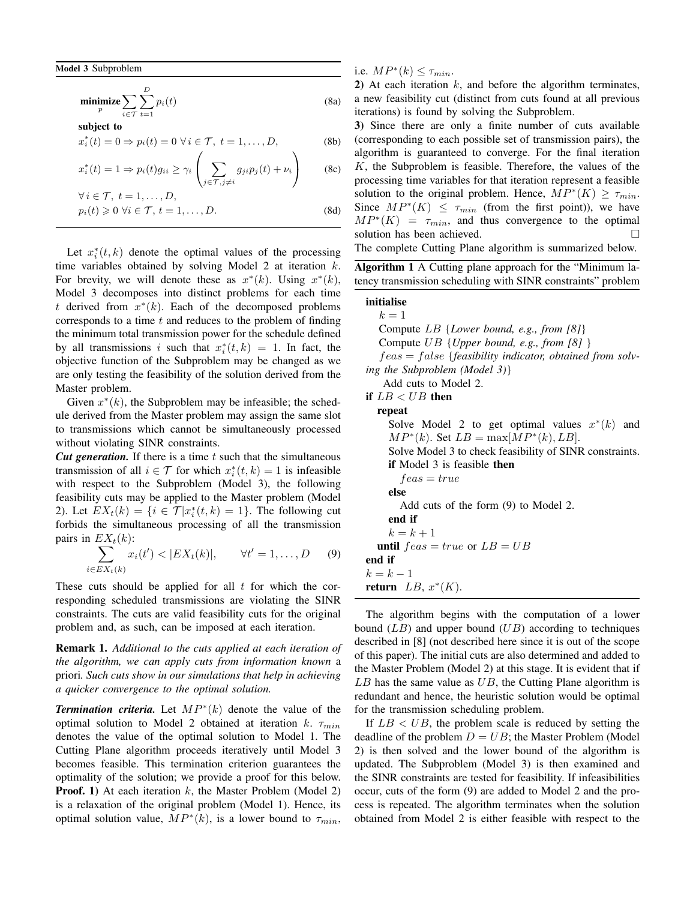Model 3 Subproblem

$$
\underset{p}{\text{minimize}} \sum_{i \in \mathcal{T}} \sum_{t=1}^{D} p_i(t) \tag{8a}
$$

subject to

$$
x_i^*(t) = 0 \Rightarrow p_i(t) = 0 \,\forall i \in \mathcal{T}, \ t = 1, \dots, D,
$$
 (8b)

$$
x_i^*(t) = 1 \Rightarrow p_i(t)g_{ii} \ge \gamma_i \left( \sum_{j \in \mathcal{T}, j \neq i} g_{ji} p_j(t) + \nu_i \right) \tag{8c}
$$

$$
\forall i \in \mathcal{T}, t = 1, ..., D,p_i(t) \ge 0 \,\forall i \in \mathcal{T}, t = 1, ..., D.
$$
 (8d)

Let  $x_i^*(t, k)$  denote the optimal values of the processing time variables obtained by solving Model 2 at iteration k. For brevity, we will denote these as  $x^*(k)$ . Using  $x^*(k)$ , Model 3 decomposes into distinct problems for each time t derived from  $x^*(k)$ . Each of the decomposed problems corresponds to a time  $t$  and reduces to the problem of finding the minimum total transmission power for the schedule defined by all transmissions i such that  $x_i^*(t, k) = 1$ . In fact, the objective function of the Subproblem may be changed as we are only testing the feasibility of the solution derived from the Master problem.

Given  $x^*(k)$ , the Subproblem may be infeasible; the schedule derived from the Master problem may assign the same slot to transmissions which cannot be simultaneously processed without violating SINR constraints.

*Cut generation.* If there is a time  $t$  such that the simultaneous transmission of all  $i \in \mathcal{T}$  for which  $x_i^*(t, k) = 1$  is infeasible with respect to the Subproblem (Model 3), the following feasibility cuts may be applied to the Master problem (Model 2). Let  $EX_t(k) = \{i \in \mathcal{T} | x_i^*(t, k) = 1\}$ . The following cut forbids the simultaneous processing of all the transmission pairs in  $\frac{EX_t(k)}{\sum x}$ 

$$
\sum_{i \in EX_t(k)} x_i(t') < |EX_t(k)|, \qquad \forall t' = 1, \dots, D \qquad (9)
$$

These cuts should be applied for all  $t$  for which the corresponding scheduled transmissions are violating the SINR constraints. The cuts are valid feasibility cuts for the original problem and, as such, can be imposed at each iteration.

Remark 1. *Additional to the cuts applied at each iteration of the algorithm, we can apply cuts from information known* a priori*. Such cuts show in our simulations that help in achieving a quicker convergence to the optimal solution.*

**Termination criteria.** Let  $MP^*(k)$  denote the value of the optimal solution to Model 2 obtained at iteration k.  $\tau_{min}$ denotes the value of the optimal solution to Model 1. The Cutting Plane algorithm proceeds iteratively until Model 3 becomes feasible. This termination criterion guarantees the optimality of the solution; we provide a proof for this below. **Proof.** 1) At each iteration  $k$ , the Master Problem (Model 2) is a relaxation of the original problem (Model 1). Hence, its optimal solution value,  $MP^*(k)$ , is a lower bound to  $\tau_{min}$ ,

# i.e.  $MP^*(k) \leq \tau_{min}$ .

2) At each iteration  $k$ , and before the algorithm terminates, a new feasibility cut (distinct from cuts found at all previous iterations) is found by solving the Subproblem.

3) Since there are only a finite number of cuts available (corresponding to each possible set of transmission pairs), the algorithm is guaranteed to converge. For the final iteration  $K$ , the Subproblem is feasible. Therefore, the values of the processing time variables for that iteration represent a feasible solution to the original problem. Hence,  $MP^*(K) \geq \tau_{min}$ . Since  $MP^*(K) \leq \tau_{min}$  (from the first point)), we have  $MP^*(K) = \tau_{min}$ , and thus convergence to the optimal solution has been achieved.

The complete Cutting Plane algorithm is summarized below.

Algorithm 1 A Cutting plane approach for the "Minimum latency transmission scheduling with SINR constraints" problem

### initialise  $k=1$

Compute LB {*Lower bound, e.g., from [8]*} Compute UB {*Upper bound, e.g., from [8]* } feas = f alse {*feasibility indicator, obtained from solving the Subproblem (Model 3)*}

Add cuts to Model 2.

```
if LB < UB then
```
repeat

Solve Model 2 to get optimal values  $x^*(k)$  and  $MP^*(k)$ . Set  $LB = \max[MP^*(k), LB]$ . Solve Model 3 to check feasibility of SINR constraints. if Model 3 is feasible then  $feas = true$ else Add cuts of the form (9) to Model 2. end if  $k = k + 1$ until  $feas = true$  or  $LB = UB$ end if  $k = k - 1$ return  $LB, x^*(K)$ .

The algorithm begins with the computation of a lower bound  $(LB)$  and upper bound  $(UB)$  according to techniques described in [8] (not described here since it is out of the scope of this paper). The initial cuts are also determined and added to the Master Problem (Model 2) at this stage. It is evident that if  $LB$  has the same value as  $UB$ , the Cutting Plane algorithm is redundant and hence, the heuristic solution would be optimal for the transmission scheduling problem.

If  $LB < UB$ , the problem scale is reduced by setting the deadline of the problem  $D = UB$ ; the Master Problem (Model 2) is then solved and the lower bound of the algorithm is updated. The Subproblem (Model 3) is then examined and the SINR constraints are tested for feasibility. If infeasibilities occur, cuts of the form (9) are added to Model 2 and the process is repeated. The algorithm terminates when the solution obtained from Model 2 is either feasible with respect to the